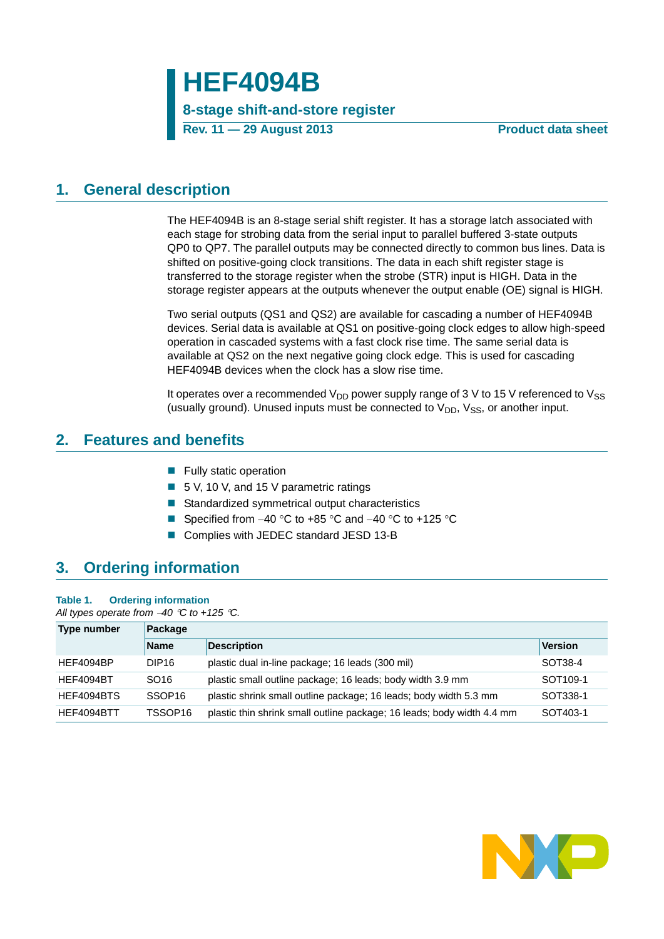# **HEF4094B**

## **8-stage shift-and-store register**

**Rev. 11 — 29 August 2013 Product data sheet**

## <span id="page-0-0"></span>**1. General description**

The HEF4094B is an 8-stage serial shift register. It has a storage latch associated with each stage for strobing data from the serial input to parallel buffered 3-state outputs QP0 to QP7. The parallel outputs may be connected directly to common bus lines. Data is shifted on positive-going clock transitions. The data in each shift register stage is transferred to the storage register when the strobe (STR) input is HIGH. Data in the storage register appears at the outputs whenever the output enable (OE) signal is HIGH.

Two serial outputs (QS1 and QS2) are available for cascading a number of HEF4094B devices. Serial data is available at QS1 on positive-going clock edges to allow high-speed operation in cascaded systems with a fast clock rise time. The same serial data is available at QS2 on the next negative going clock edge. This is used for cascading HEF4094B devices when the clock has a slow rise time.

It operates over a recommended  $V_{DD}$  power supply range of 3 V to 15 V referenced to  $V_{SS}$ (usually ground). Unused inputs must be connected to  $V_{DD}$ ,  $V_{SS}$ , or another input.

## <span id="page-0-1"></span>**2. Features and benefits**

- **Fully static operation**
- 5 V, 10 V, and 15 V parametric ratings
- Standardized symmetrical output characteristics
- Specified from  $-40$  °C to  $+85$  °C and  $-40$  °C to  $+125$  °C
- Complies with JEDEC standard JESD 13-B

## <span id="page-0-2"></span>**3. Ordering information**

### **Table 1. Ordering information**

*All types operate from 40 C to +125 C.*

| Type number | Package            |                                                                        |                      |  |  |  |  |  |  |
|-------------|--------------------|------------------------------------------------------------------------|----------------------|--|--|--|--|--|--|
|             | <b>Name</b>        | <b>Description</b>                                                     | <b>Version</b>       |  |  |  |  |  |  |
| HEF4094BP   | DIP <sub>16</sub>  | plastic dual in-line package; 16 leads (300 mil)                       | SOT38-4              |  |  |  |  |  |  |
| HEF4094BT   | SO <sub>16</sub>   | plastic small outline package; 16 leads; body width 3.9 mm             | SOT <sub>109-1</sub> |  |  |  |  |  |  |
| HFF4094BTS  | SSOP <sub>16</sub> | plastic shrink small outline package; 16 leads; body width 5.3 mm      | SOT338-1             |  |  |  |  |  |  |
| HEF4094BTT  | TSSOP16            | plastic thin shrink small outline package; 16 leads; body width 4.4 mm | SOT403-1             |  |  |  |  |  |  |

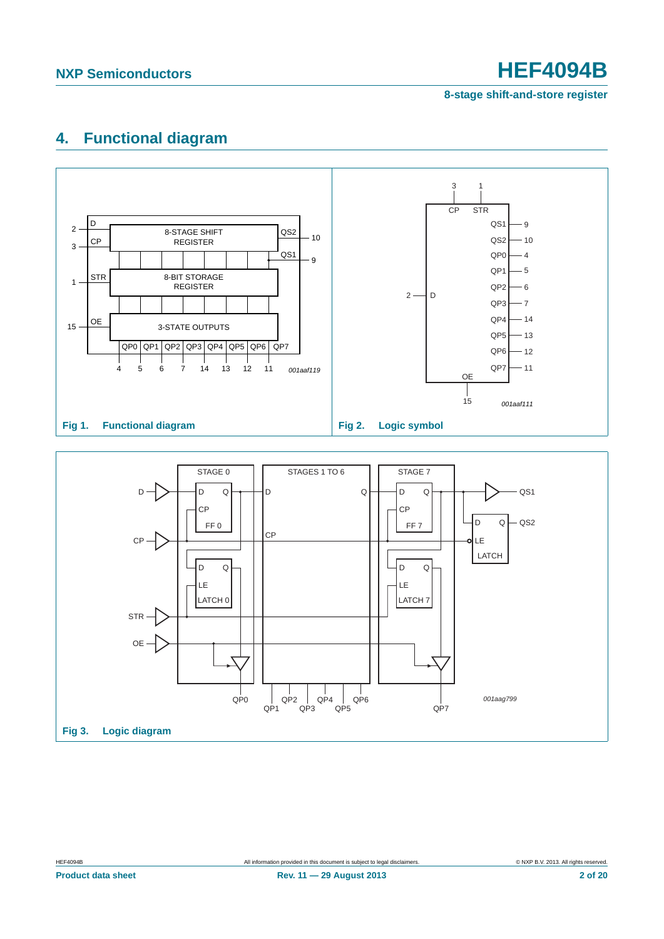**8-stage shift-and-store register**

## <span id="page-1-0"></span>**4. Functional diagram**



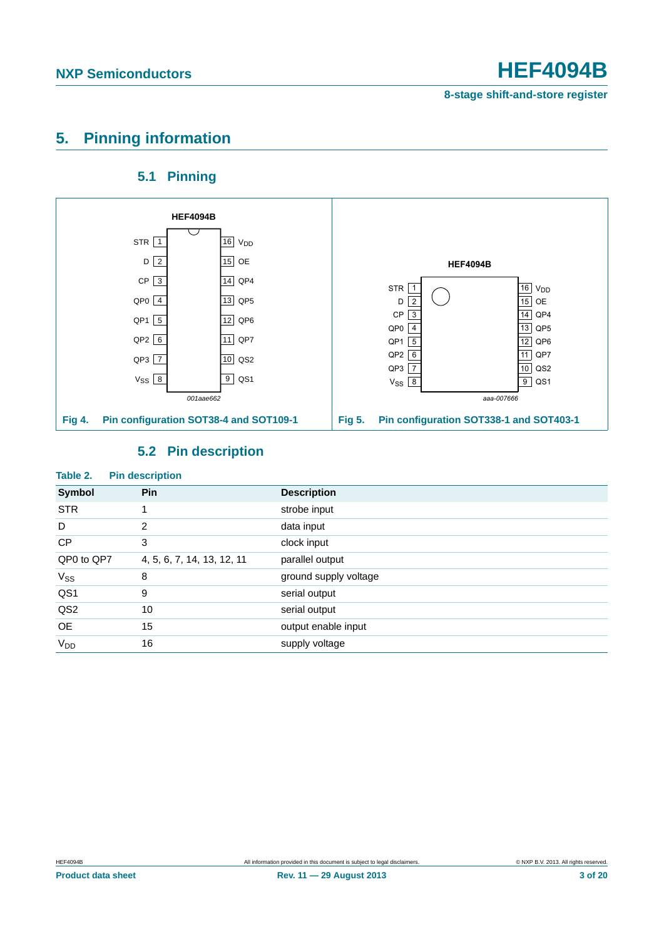## <span id="page-2-0"></span>**5. Pinning information**

## **5.1 Pinning**

<span id="page-2-1"></span>

## **5.2 Pin description**

<span id="page-2-2"></span>

| Table 2.        | <b>Pin description</b>     |                       |
|-----------------|----------------------------|-----------------------|
| Symbol          | Pin                        | <b>Description</b>    |
| <b>STR</b>      | $\mathbf{1}$               | strobe input          |
| D               | 2                          | data input            |
| <b>CP</b>       | 3                          | clock input           |
| QP0 to QP7      | 4, 5, 6, 7, 14, 13, 12, 11 | parallel output       |
| $V_{SS}$        | 8                          | ground supply voltage |
| QS1             | 9                          | serial output         |
| QS <sub>2</sub> | 10                         | serial output         |
| <b>OE</b>       | 15                         | output enable input   |
| V <sub>DD</sub> | 16                         | supply voltage        |

### **Product data sheet Rev. 11 — 29 August 2013 3 of 20**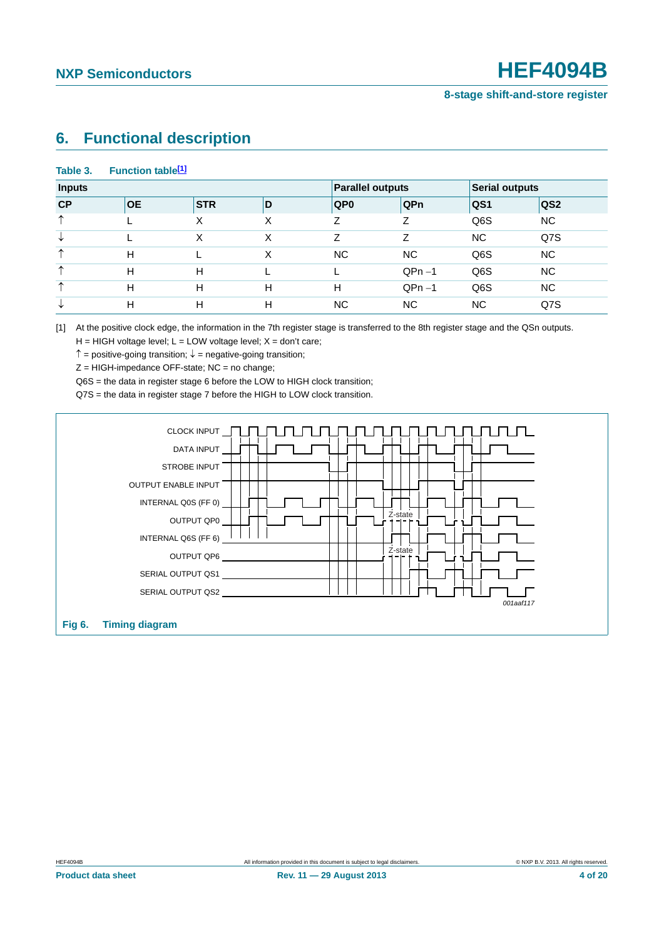## <span id="page-3-1"></span>**6. Functional description**

### Table 3. Function table<sup>[1]</sup>

| <b>Inputs</b> |           |            |   | <b>Parallel outputs</b> |           | <b>Serial outputs</b> |                 |
|---------------|-----------|------------|---|-------------------------|-----------|-----------------------|-----------------|
| CP            | <b>OE</b> | <b>STR</b> | D | QP <sub>0</sub>         | QPn       | QS1                   | QS <sub>2</sub> |
| ᠰ             |           | Χ          | Χ | 7                       | 7         | Q6S                   | NC.             |
| ◡             |           | Χ          | X | Z                       | 7         | <b>NC</b>             | Q7S             |
| ∧             | н         |            | X | NC.                     | <b>NC</b> | Q6S                   | NC.             |
| ᠰ             | H         | н          |   |                         | $QPn-1$   | Q6S                   | NC.             |
| ∧             | Н         | н          | Н | H                       | $QPn-1$   | Q6S                   | NC.             |
| ◡             | Н         | н          | H | <b>NC</b>               | <b>NC</b> | <b>NC</b>             | Q7S             |

<span id="page-3-0"></span>[1] At the positive clock edge, the information in the 7th register stage is transferred to the 8th register stage and the QSn outputs.

 $H = HIGH$  voltage level;  $L = LOW$  voltage level;  $X = don't$  care;

 $\uparrow$  = positive-going transition;  $\downarrow$  = negative-going transition;

 $Z = HIGH$ -impedance OFF-state; NC = no change;

Q6S = the data in register stage 6 before the LOW to HIGH clock transition;

Q7S = the data in register stage 7 before the HIGH to LOW clock transition.

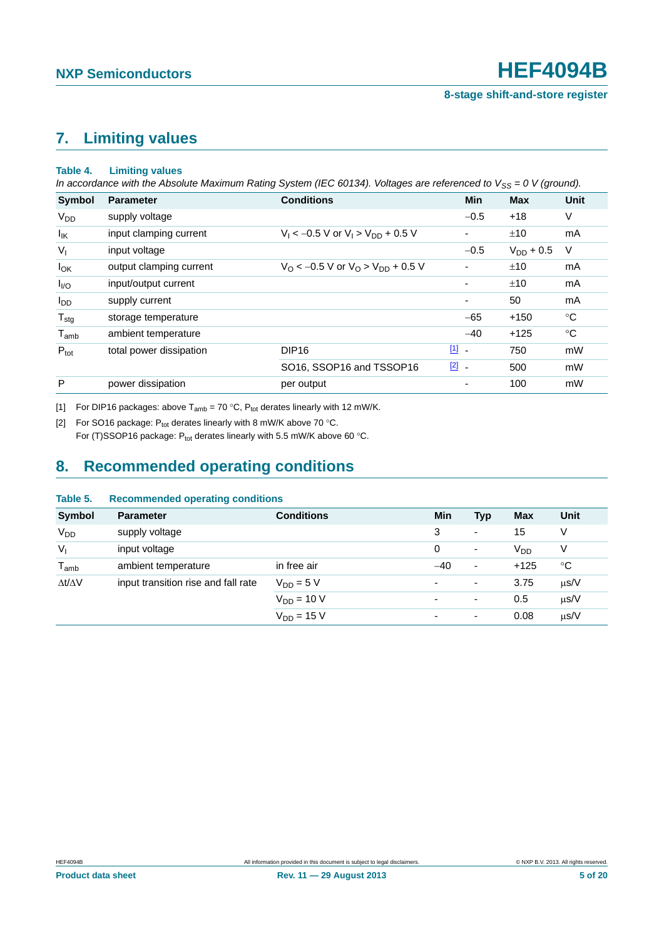## <span id="page-4-3"></span>**7. Limiting values**

### <span id="page-4-2"></span>**Table 4. Limiting values**

*In accordance with the Absolute Maximum Rating System (IEC 60134). Voltages are referenced to V<sub>SS</sub> = 0 V (ground).* 

| Symbol                 | <b>Parameter</b>        | <b>Conditions</b>                                          | <b>Min</b>               | <b>Max</b>     | <b>Unit</b> |
|------------------------|-------------------------|------------------------------------------------------------|--------------------------|----------------|-------------|
| <b>V<sub>DD</sub></b>  | supply voltage          |                                                            | $-0.5$                   | $+18$          | V           |
| <sup>I</sup> IK        | input clamping current  | $V_1 < -0.5$ V or $V_1 > V_{DD} + 0.5$ V                   | $\overline{\phantom{0}}$ | ±10            | mA          |
| $V_{1}$                | input voltage           |                                                            | $-0.5$                   | $V_{DD} + 0.5$ | V           |
| $I_{OK}$               | output clamping current | $V_{\rm O}$ < -0.5 V or $V_{\rm O}$ > $V_{\rm DD}$ + 0.5 V |                          | ±10            | mA          |
| I <sub>VO</sub>        | input/output current    |                                                            |                          | ±10            | mA          |
| <b>I</b> <sub>DD</sub> | supply current          |                                                            |                          | 50             | mA          |
| $T_{\text{stg}}$       | storage temperature     |                                                            | $-65$                    | $+150$         | $^{\circ}C$ |
| $T_{amb}$              | ambient temperature     |                                                            | $-40$                    | $+125$         | $^{\circ}C$ |
| $P_{\text{tot}}$       | total power dissipation | DIP <sub>16</sub>                                          | $\boxed{1}$ -            | 750            | mW          |
|                        |                         | SO16, SSOP16 and TSSOP16                                   | $\boxed{2}$ -            | 500            | mW          |
| P                      | power dissipation       | per output                                                 |                          | 100            | mW          |

<span id="page-4-0"></span>[1] For DIP16 packages: above  $T_{amb} = 70 °C$ ,  $P_{tot}$  derates linearly with 12 mW/K.

<span id="page-4-1"></span>[2] For SO16 package:  $P_{tot}$  derates linearly with 8 mW/K above 70 °C.

For (T)SSOP16 package: P<sub>tot</sub> derates linearly with 5.5 mW/K above 60 °C.

## <span id="page-4-4"></span>**8. Recommended operating conditions**

### **Table 5. Recommended operating conditions**

| <b>Symbol</b>       | <b>Parameter</b>                    | <b>Conditions</b> | Min            | <b>Typ</b>               | <b>Max</b>      | Unit      |
|---------------------|-------------------------------------|-------------------|----------------|--------------------------|-----------------|-----------|
| V <sub>DD</sub>     | supply voltage                      |                   | 3              | $\overline{\phantom{a}}$ | 15              | V         |
| $V_{I}$             | input voltage                       |                   | 0              | $\overline{\phantom{a}}$ | V <sub>DD</sub> | V         |
| $T_{amb}$           | ambient temperature                 | in free air       | $-40$          | $\overline{\phantom{a}}$ | $+125$          | °C        |
| $\Delta t/\Delta V$ | input transition rise and fall rate | $V_{DD} = 5 V$    | ٠              | $\overline{\phantom{a}}$ | 3.75            | $\mu$ s/V |
|                     |                                     | $V_{DD} = 10 V$   | $\blacksquare$ | $\overline{\phantom{a}}$ | 0.5             | $\mu$ s/V |
|                     |                                     | $V_{DD} = 15 V$   | ٠              | $\overline{\phantom{a}}$ | 0.08            | $\mu$ s/V |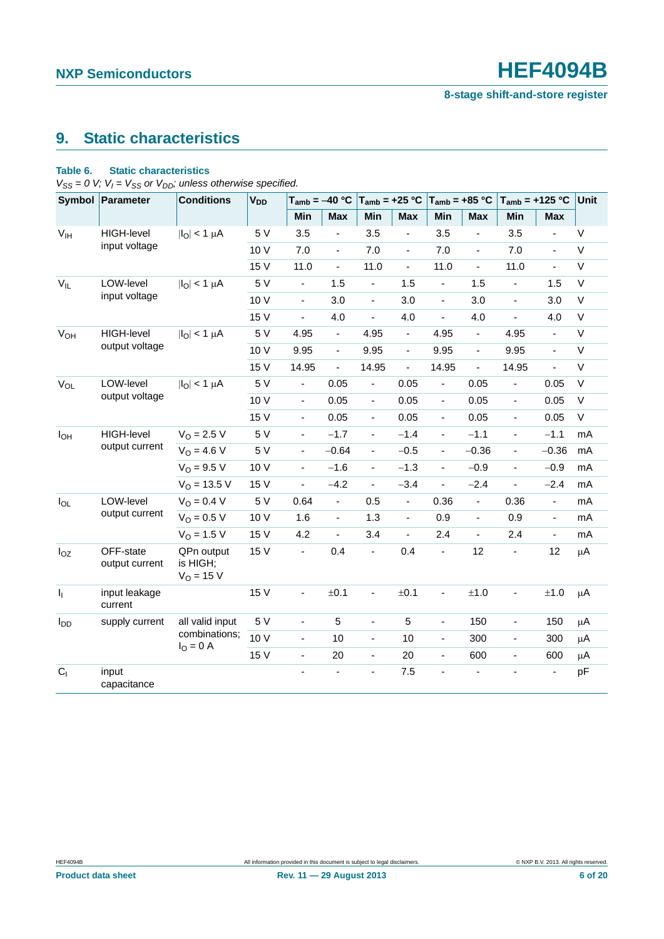## <span id="page-5-1"></span>**9. Static characteristics**

### <span id="page-5-0"></span>**Table 6. Static characteristics**

 $V_{SS} = 0$  *V;*  $V_I = V_{SS}$  or  $V_{DD}$ ; unless otherwise specified.

| • აა                  | Symbol Parameter            | <b>Conditions</b>                        | <b>V<sub>DD</sub></b> | $T_{amb} = -40 °C$       |                          | $T_{amb} = +25 °C$       |                          | $T_{amb} = +85 °C$           |                          | $T_{amb}$ = +125 °C          |                | Unit    |
|-----------------------|-----------------------------|------------------------------------------|-----------------------|--------------------------|--------------------------|--------------------------|--------------------------|------------------------------|--------------------------|------------------------------|----------------|---------|
|                       |                             |                                          |                       | Min                      | <b>Max</b>               | Min                      | <b>Max</b>               | Min                          | <b>Max</b>               | Min                          | <b>Max</b>     |         |
| V <sub>IH</sub>       | <b>HIGH-level</b>           | $ I_{\text{O}} $ < 1 $\mu$ A             | 5 V                   | 3.5                      |                          | 3.5                      |                          | 3.5                          |                          | 3.5                          | ÷,             | $\vee$  |
|                       | input voltage               |                                          | 10 V                  | 7.0                      | $\blacksquare$           | 7.0                      | $\overline{\phantom{a}}$ | 7.0                          | $\blacksquare$           | 7.0                          | $\blacksquare$ | $\vee$  |
|                       |                             |                                          | 15 V                  | 11.0                     | $\blacksquare$           | 11.0                     | $\overline{\phantom{a}}$ | 11.0                         | $\frac{1}{2}$            | 11.0                         | ä,             | $\vee$  |
| $V_{IL}$              | LOW-level                   | $ I_O  < 1 \mu A$                        | 5 V                   | $\blacksquare$           | 1.5                      | $\blacksquare$           | 1.5                      | $\blacksquare$               | 1.5                      | $\blacksquare$               | 1.5            | $\vee$  |
|                       | input voltage               |                                          | 10 V                  | $\overline{\phantom{a}}$ | 3.0                      | $\blacksquare$           | 3.0                      | $\blacksquare$               | 3.0                      | $\blacksquare$               | 3.0            | $\vee$  |
|                       |                             |                                          | 15 V                  | ä,                       | 4.0                      | $\blacksquare$           | 4.0                      | ÷,                           | 4.0                      | $\overline{\phantom{a}}$     | 4.0            | $\vee$  |
| <b>V<sub>OH</sub></b> | HIGH-level                  | $ I_O  < 1 \mu A$                        | 5 V                   | 4.95                     | $\Box$                   | 4.95                     | $\blacksquare$           | 4.95                         | ä,                       | 4.95                         | $\overline{a}$ | $\vee$  |
|                       | output voltage              |                                          | 10 V                  | 9.95                     | $\blacksquare$           | 9.95                     | $\blacksquare$           | 9.95                         | ÷,                       | 9.95                         | ÷,             | $\vee$  |
|                       |                             |                                          | 15 V                  | 14.95                    | $\Box$                   | 14.95                    | $\overline{\phantom{a}}$ | 14.95                        | ÷.                       | 14.95                        | $\overline{a}$ | $\vee$  |
| $V_{OL}$              | LOW-level                   | $ I_O  < 1 \mu A$                        | 5 V                   | $\blacksquare$           | 0.05                     | $\blacksquare$           | 0.05                     | $\blacksquare$               | 0.05                     | $\qquad \qquad \blacksquare$ | 0.05           | $\vee$  |
| output voltage        |                             |                                          | 10 V                  | $\blacksquare$           | 0.05                     | $\blacksquare$           | 0.05                     | $\blacksquare$               | 0.05                     | $\frac{1}{2}$                | 0.05           | $\vee$  |
|                       |                             |                                          | 15 V                  | ÷,                       | 0.05                     | $\blacksquare$           | 0.05                     | $\overline{\phantom{0}}$     | 0.05                     | $\overline{\phantom{a}}$     | 0.05           | $\vee$  |
| I <sub>OH</sub>       | <b>HIGH-level</b>           | $V_{O} = 2.5 V$                          | 5 V                   | $\blacksquare$           | $-1.7$                   | $\blacksquare$           | $-1.4$                   | $\blacksquare$               | $-1.1$                   | $\blacksquare$               | $-1.1$         | mA      |
|                       | output current              | $V_O = 4.6 V$                            | 5 V                   | $\blacksquare$           | $-0.64$                  | $\overline{\phantom{a}}$ | $-0.5$                   | $\overline{\phantom{0}}$     | $-0.36$                  | $\qquad \qquad \blacksquare$ | $-0.36$        | mA      |
|                       |                             | $V_O = 9.5 V$                            | 10 V                  | $\blacksquare$           | $-1.6$                   | $\blacksquare$           | $-1.3$                   | $\blacksquare$               | $-0.9$                   | $\blacksquare$               | $-0.9$         | mA      |
|                       |                             | $V_{O}$ = 13.5 V                         | 15 V                  | $\frac{1}{2}$            | $-4.2$                   | $\overline{\phantom{a}}$ | $-3.4$                   | ÷,                           | $-2.4$                   | $\blacksquare$               | $-2.4$         | mA      |
| $I_{OL}$              | LOW-level                   | $V_O = 0.4 V$                            | 5 V                   | 0.64                     | $\blacksquare$           | 0.5                      | $\overline{\phantom{a}}$ | 0.36                         | $\blacksquare$           | 0.36                         | $\blacksquare$ | mA      |
|                       | output current              | $V_O = 0.5 V$                            | 10 V                  | 1.6                      | $\blacksquare$           | 1.3                      | $\overline{\phantom{a}}$ | 0.9                          | $\overline{\phantom{a}}$ | 0.9                          | $\blacksquare$ | mA      |
|                       |                             | $V_{\Omega} = 1.5 V$                     | 15 V                  | 4.2                      | $\overline{\phantom{a}}$ | 3.4                      | $\blacksquare$           | 2.4                          | $\blacksquare$           | 2.4                          | $\blacksquare$ | mA      |
| $I_{OZ}$              | OFF-state<br>output current | QPn output<br>is HIGH;<br>$V_{O} = 15 V$ | 15 V                  | ä,                       | 0.4                      | ä,                       | 0.4                      | $\overline{\phantom{a}}$     | 12                       | $\qquad \qquad \blacksquare$ | 12             | $\mu$ A |
| $\mathsf{I}_1$        | input leakage<br>current    |                                          | 15 V                  | $\overline{\phantom{a}}$ | ±0.1                     | $\frac{1}{2}$            | ±0.1                     | $\qquad \qquad \blacksquare$ | $\pm 1.0$                | $\overline{\phantom{0}}$     | ±1.0           | μA      |
| $I_{DD}$              | supply current              | all valid input                          | 5 V                   | $\blacksquare$           | 5                        | $\blacksquare$           | $\overline{5}$           | $\overline{\phantom{0}}$     | 150                      | $\frac{1}{2}$                | 150            | μA      |
|                       |                             | combinations;                            | 10 V                  | ÷,                       | 10                       | ä,                       | 10                       | $\frac{1}{2}$                | 300                      | $\blacksquare$               | 300            | $\mu$ A |
|                       |                             | $I_{O} = 0 A$                            | 15 V                  | ÷,                       | $20\,$                   | $\blacksquare$           | 20                       | ÷                            | 600                      | $\qquad \qquad \blacksquare$ | 600            | μA      |
| C <sub>1</sub>        | input<br>capacitance        |                                          |                       |                          | $\blacksquare$           | ä,                       | 7.5                      | ä,                           |                          |                              |                | pF      |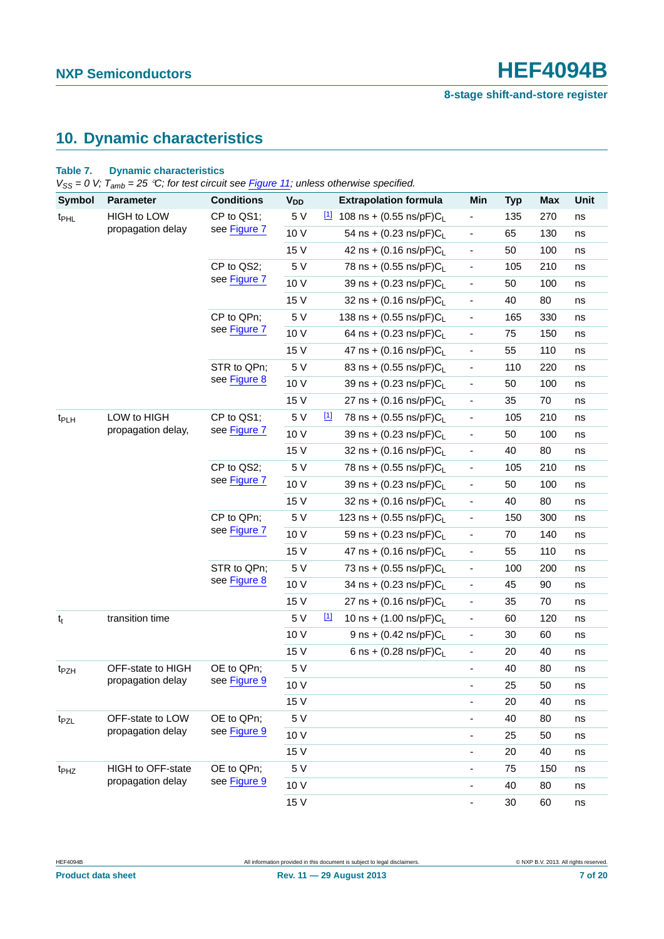## <span id="page-6-0"></span>**10. Dynamic characteristics**

### **Table 7. Dynamic characteristics**

*VSS = 0 V; Tamb = 25 C; for test circuit see [Figure 11](#page-10-0); unless otherwise specified.*

| <b>Symbol</b>                                         | <b>Parameter</b>   | <b>Conditions</b>          | <b>V<sub>DD</sub></b>                 | <b>Extrapolation formula</b>                     | Min                          | <b>Typ</b> | <b>Max</b> | Unit |
|-------------------------------------------------------|--------------------|----------------------------|---------------------------------------|--------------------------------------------------|------------------------------|------------|------------|------|
| t <sub>PHL</sub>                                      | <b>HIGH to LOW</b> | CP to QS1;                 | 5 V                                   | $11$ 108 ns + (0.55 ns/pF)C <sub>L</sub>         | $\qquad \qquad \blacksquare$ | 135        | 270        | ns   |
|                                                       | propagation delay  | see Figure 7               | 10 V                                  | 54 ns + (0.23 ns/pF)CL                           | $\overline{\phantom{a}}$     | 65         | 130        | ns   |
|                                                       |                    |                            | 15 V                                  | 42 ns + $(0.16 \text{ ns/pF})C_L$                | $\overline{\phantom{a}}$     | 50         | 100        | ns   |
|                                                       |                    | CP to QS2;                 | 5 V                                   | 78 ns + $(0.55 \text{ ns/pF})C_1$                | $\overline{\phantom{a}}$     | 105        | 210        | ns   |
|                                                       |                    | see Figure 7               | 10 V                                  | 39 ns + (0.23 ns/pF)CL                           | $\overline{\phantom{a}}$     | 50         | 100        | ns   |
|                                                       |                    |                            | 15 V                                  | 32 ns + (0.16 ns/pF)CL                           | $\overline{\phantom{a}}$     | 40         | 80         | ns   |
|                                                       |                    | CP to QPn;                 | 5 V                                   | 138 ns + $(0.55 \text{ ns/pF})C_L$               | $\overline{\phantom{a}}$     | 165        | 330        | ns   |
|                                                       |                    | see Figure 7               | 10 V                                  | 64 ns + $(0.23 \text{ ns/pF})C_L$                | $\overline{\phantom{a}}$     | 75         | 150        | ns   |
|                                                       |                    |                            | 15 V                                  | 47 ns + $(0.16 \text{ ns/pF})C_L$                | $\overline{\phantom{a}}$     | 55         | 110        | ns   |
|                                                       |                    | STR to QPn;                | 5 V                                   | 83 ns + (0.55 ns/pF)CL                           | $\overline{\phantom{a}}$     | 110        | 220        | ns   |
|                                                       |                    | see Figure 8               | 10 V                                  | 39 ns + (0.23 ns/pF)CL                           | $\overline{\phantom{a}}$     | 50         | 100        | ns   |
|                                                       |                    |                            | 15 V                                  | 27 ns + $(0.16 \text{ ns/pF})C_L$                | $\overline{\phantom{a}}$     | 35         | 70         | ns   |
| LOW to HIGH<br>t <sub>PLH</sub><br>propagation delay, | CP to QS1;         | 5 V                        | $\boxed{1}$<br>78 ns + (0.55 ns/pF)CL | $\overline{\phantom{a}}$                         | 105                          | 210        | ns         |      |
|                                                       |                    | see Figure 7               | 10 V                                  | 39 ns + (0.23 ns/pF)CL                           | $\overline{\phantom{a}}$     | 50         | 100        | ns   |
|                                                       |                    |                            | 15 V                                  | 32 ns + $(0.16 \text{ ns/pF})C_L$                | $\overline{\phantom{a}}$     | 40         | 80         | ns   |
|                                                       |                    | CP to QS2;                 | 5 V                                   | 78 ns + $(0.55 \text{ ns/pF})C_L$                | $\overline{\phantom{a}}$     | 105        | 210        | ns   |
|                                                       |                    | see Figure 7               | 10 V                                  | 39 ns + (0.23 ns/pF)CL                           | $\overline{\phantom{a}}$     | 50         | 100        | ns   |
|                                                       |                    |                            | 15 V                                  | 32 ns + (0.16 ns/pF)CL                           | $\overline{\phantom{a}}$     | 40         | 80         | ns   |
|                                                       |                    | CP to QPn;<br>see Figure 7 | 5 V                                   | 123 ns + $(0.55 \text{ ns/pF})C_L$               | $\overline{\phantom{a}}$     | 150        | 300        | ns   |
|                                                       |                    |                            | 10 V                                  | 59 ns + (0.23 ns/pF)CL                           | $\overline{\phantom{a}}$     | 70         | 140        | ns   |
|                                                       |                    |                            | 15 V                                  | 47 ns + $(0.16 \text{ ns/pF})C_L$                | $\overline{\phantom{a}}$     | 55         | 110        | ns   |
|                                                       |                    | STR to QPn;                | 5 V                                   | 73 ns + (0.55 ns/pF)CL                           | $\overline{\phantom{a}}$     | 100        | 200        | ns   |
|                                                       |                    | see Figure 8               | 10 V                                  | 34 ns + (0.23 ns/pF)CL                           | $\overline{\phantom{a}}$     | 45         | 90         | ns   |
|                                                       |                    |                            | 15 V                                  | 27 ns + $(0.16 \text{ ns/pF})C_L$                | $\overline{\phantom{a}}$     | 35         | 70         | ns   |
| $t_t$                                                 | transition time    |                            | 5 V                                   | $\boxed{1}$<br>10 ns + $(1.00 \text{ ns/pF})C_L$ | $\overline{\phantom{a}}$     | 60         | 120        | ns   |
|                                                       |                    |                            | 10 V                                  | 9 ns + $(0.42 \text{ ns/pF})C_L$                 | $\overline{\phantom{a}}$     | 30         | 60         | ns   |
|                                                       |                    |                            | 15 V                                  | 6 ns + $(0.28 \text{ ns/pF})C_1$                 | $\overline{\phantom{a}}$     | 20         | 40         | ns   |
| t <sub>PZH</sub>                                      | OFF-state to HIGH  | OE to QPn;                 | 5 V                                   |                                                  | $\overline{\phantom{a}}$     | 40         | 80         | ns   |
|                                                       | propagation delay  | see Figure 9               | 10 V                                  |                                                  | $\overline{\phantom{a}}$     | 25         | 50         | ns   |
|                                                       |                    |                            | 15 V                                  |                                                  | $\qquad \qquad \blacksquare$ | 20         | 40         | ns   |
| t <sub>PZL</sub>                                      | OFF-state to LOW   | OE to QPn;                 | 5 V                                   |                                                  | $\overline{\phantom{a}}$     | 40         | 80         | ns   |
|                                                       | propagation delay  | see Figure 9               | 10 V                                  |                                                  | $\qquad \qquad \blacksquare$ | 25         | 50         | ns   |
|                                                       |                    |                            | 15 V                                  |                                                  | $\qquad \qquad \blacksquare$ | 20         | 40         | ns   |
| t <sub>PHZ</sub>                                      | HIGH to OFF-state  | OE to QPn;                 | 5 V                                   |                                                  | $\qquad \qquad \blacksquare$ | 75         | 150        | ns   |
|                                                       | propagation delay  | see Figure 9               | 10 V                                  |                                                  | $\overline{\phantom{a}}$     | 40         | 80         | ns   |
|                                                       |                    |                            | 15 V                                  |                                                  | $\blacksquare$               | 30         | 60         | ns   |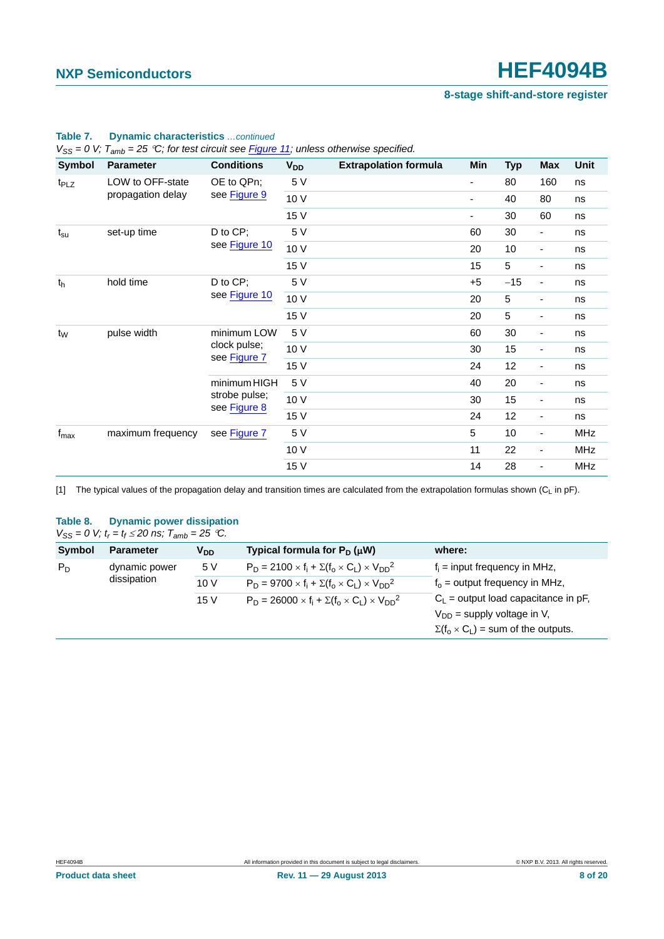**8-stage shift-and-store register**

| Symbol           | <b>Parameter</b>  | <b>Conditions</b>             | <b>V<sub>DD</sub></b> | <b>Extrapolation formula</b> | Min                      | <b>Typ</b> | <b>Max</b>               | <b>Unit</b> |
|------------------|-------------------|-------------------------------|-----------------------|------------------------------|--------------------------|------------|--------------------------|-------------|
| t <sub>PLZ</sub> | LOW to OFF-state  | OE to QPn;                    | 5 V                   |                              | $\overline{\phantom{a}}$ | 80         | 160                      | ns          |
|                  | propagation delay | see Figure 9                  | 10 V                  |                              | $\overline{\phantom{a}}$ | 40         | 80                       | ns          |
|                  |                   |                               | 15 V                  |                              | $\overline{\phantom{a}}$ | 30         | 60                       | ns          |
| $t_{\rm su}$     | set-up time       | D to CP;                      | 5 V                   |                              | 60                       | 30         | $\overline{\phantom{a}}$ | ns          |
|                  |                   | see Figure 10                 | 10 V                  |                              | 20                       | 10         | $\overline{\phantom{a}}$ | ns          |
|                  |                   |                               | 15 V                  |                              | 15                       | 5          | ۰                        | ns          |
| t <sub>h</sub>   | hold time         | D to CP;<br>see Figure 10     | 5 V                   |                              | $+5$                     | $-15$      | ۰                        | ns          |
|                  |                   |                               | 10 V                  |                              | 20                       | 5          | $\overline{\phantom{a}}$ | ns          |
|                  |                   |                               | 15 V                  |                              | 20                       | 5          | ۰                        | ns          |
| $t_W$            | pulse width       | minimum LOW                   | 5 V                   |                              | 60                       | 30         | ۰                        | ns          |
|                  |                   | clock pulse;<br>see Figure 7  | 10 V                  |                              | 30                       | 15         | ۰                        | ns          |
|                  |                   |                               | 15 V                  |                              | 24                       | 12         | ۰                        | ns          |
|                  |                   | minimum HIGH                  | 5 V                   |                              | 40                       | 20         | $\overline{\phantom{a}}$ | ns          |
|                  |                   | strobe pulse;<br>see Figure 8 | 10 V                  |                              | 30                       | 15         | ۰                        | ns          |
|                  |                   |                               | 15 V                  |                              | 24                       | 12         | ٠                        | ns          |
| $f_{\text{max}}$ | maximum frequency | see Figure 7                  | 5 V                   |                              | 5                        | 10         | ۰                        | <b>MHz</b>  |
|                  |                   |                               | 10 V                  |                              | 11                       | 22         | $\overline{\phantom{a}}$ | <b>MHz</b>  |
|                  |                   |                               | 15 V                  |                              | 14                       | 28         | $\overline{\phantom{a}}$ | MHz         |

### **Table 7. Dynamic characteristics** *…continued*

*VSS = 0 V; Tamb = 25 C; for test circuit see Figure 11; unless otherwise specified.*

<span id="page-7-0"></span>[1] The typical values of the propagation delay and transition times are calculated from the extrapolation formulas shown (C<sub>L</sub> in pF).

### **Table 8. Dynamic power dissipation**

 $V_{SS} = 0$  V;  $t_r = t_f \le 20$  ns;  $T_{amb} = 25$  °C.

| Symbol | <b>Parameter</b> | V <sub>DD</sub> | Typical formula for $P_D(\mu W)$                                  | where:                                         |
|--------|------------------|-----------------|-------------------------------------------------------------------|------------------------------------------------|
| $P_D$  | dynamic power    | 5 V             | $P_D = 2100 \times f_i + \Sigma(f_0 \times C_1) \times V_{DD}^2$  | $f_i$ = input frequency in MHz,                |
|        | dissipation      | 10 V            | $P_D = 9700 \times f_i + \Sigma(f_0 \times C_1) \times V_{DD}^2$  | $f_0$ = output frequency in MHz,               |
|        |                  | 15 V            | $P_D = 26000 \times f_i + \Sigma(f_0 \times C_1) \times V_{DD}^2$ | $C_L$ = output load capacitance in pF,         |
|        |                  |                 |                                                                   | $V_{DD}$ = supply voltage in V,                |
|        |                  |                 |                                                                   | $\Sigma(f_0 \times C_L)$ = sum of the outputs. |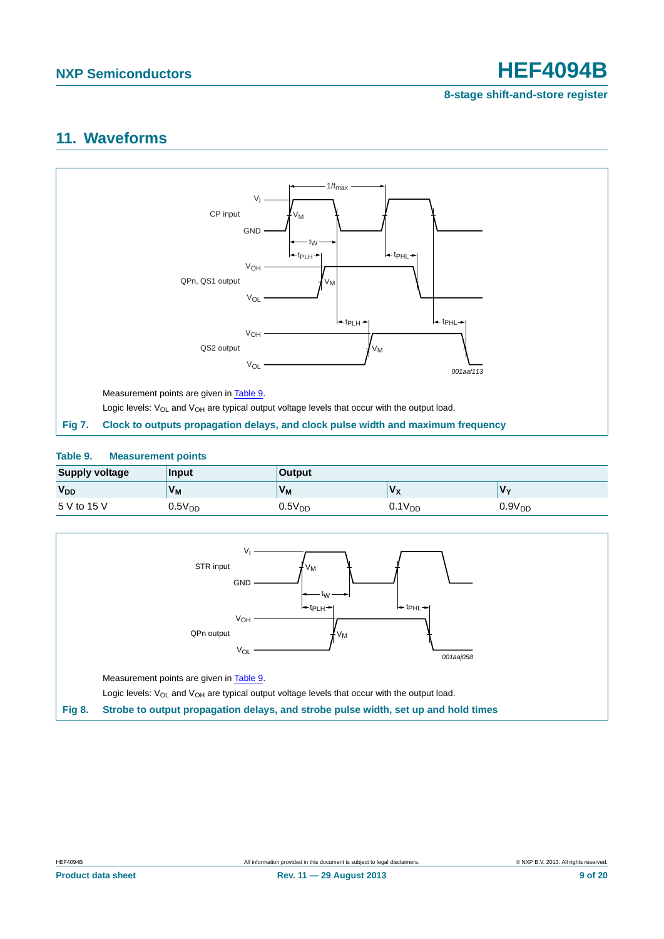**8-stage shift-and-store register**

## <span id="page-8-3"></span>**11. Waveforms**



### <span id="page-8-2"></span><span id="page-8-0"></span>**Table 9. Measurement points**

| <b>Supply voltage</b> | Input          | <b>Output</b>      |             |                    |  |  |
|-----------------------|----------------|--------------------|-------------|--------------------|--|--|
| <b>V<sub>DD</sub></b> | V <sub>M</sub> | V <sub>M</sub>     | $V_{\rm X}$ | $V_{\mathbf{v}}$   |  |  |
| 5 V to 15 V           | $0.5V_{DD}$    | 0.5V <sub>DD</sub> | $0.1V_{DD}$ | 0.9V <sub>DD</sub> |  |  |

<span id="page-8-1"></span>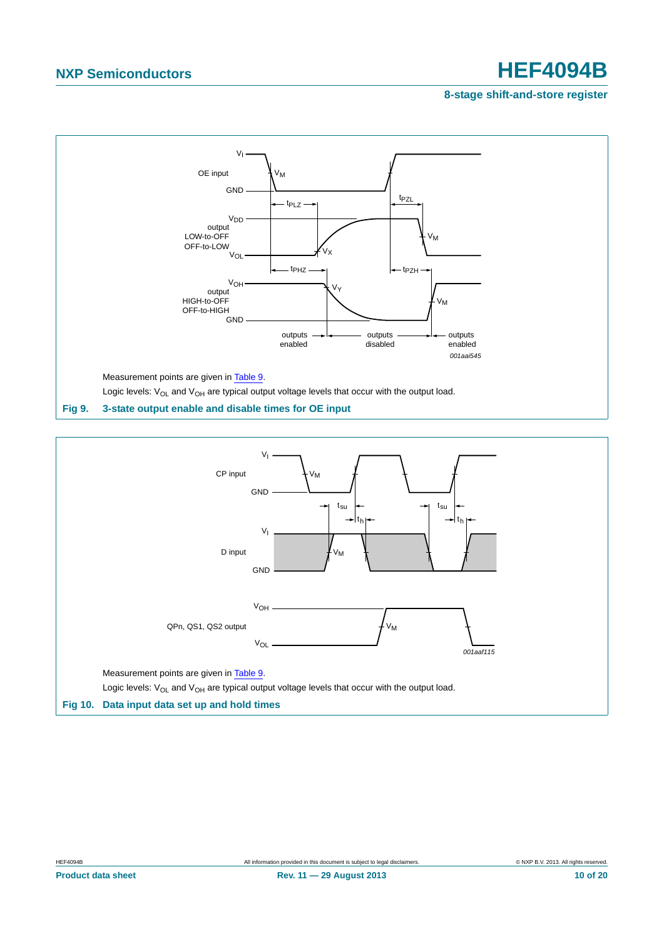### **8-stage shift-and-store register**



<span id="page-9-1"></span><span id="page-9-0"></span>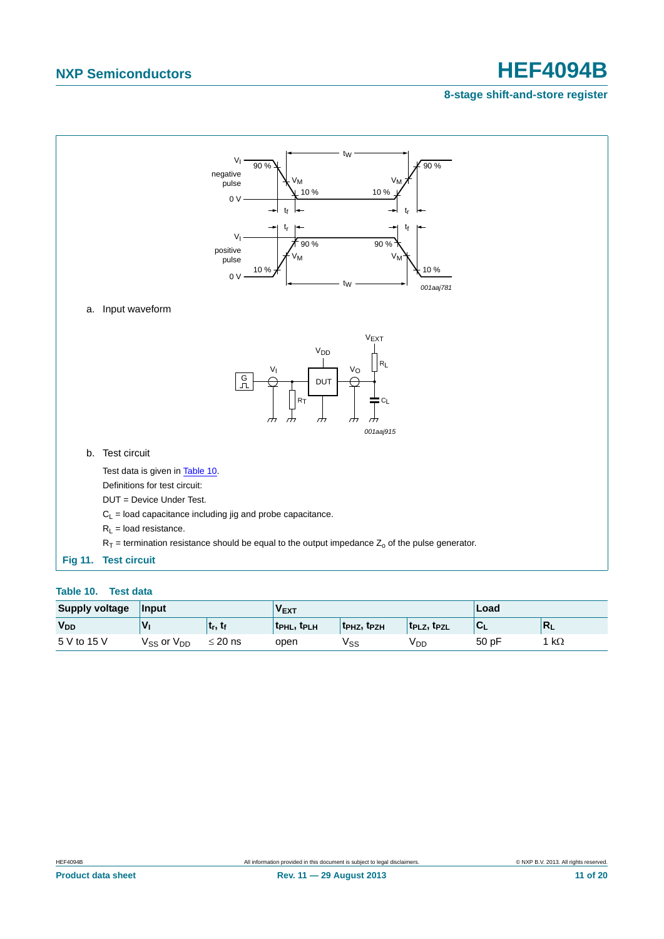### **8-stage shift-and-store register**



### <span id="page-10-1"></span><span id="page-10-0"></span>**Table 10. Test data**

| <b>Supply voltage</b> | Input                |                 |                                     |                                     | Load                  |      |                           |
|-----------------------|----------------------|-----------------|-------------------------------------|-------------------------------------|-----------------------|------|---------------------------|
| <b>V<sub>DD</sub></b> |                      | <sub>ւ, է</sub> | t <sub>PHL</sub> , t <sub>PLH</sub> | t <sub>PHZ</sub> , t <sub>PZH</sub> | $t_{PLZ}$ , $t_{PZL}$ | יש   | $\mathsf{R}_{\mathsf{L}}$ |
| 5 V to 15 V           | $V_{SS}$ or $V_{DD}$ | $\leq$ 20 ns    | open                                | √ss                                 | <sup>V</sup> DD       | 50pF | $k\Omega$                 |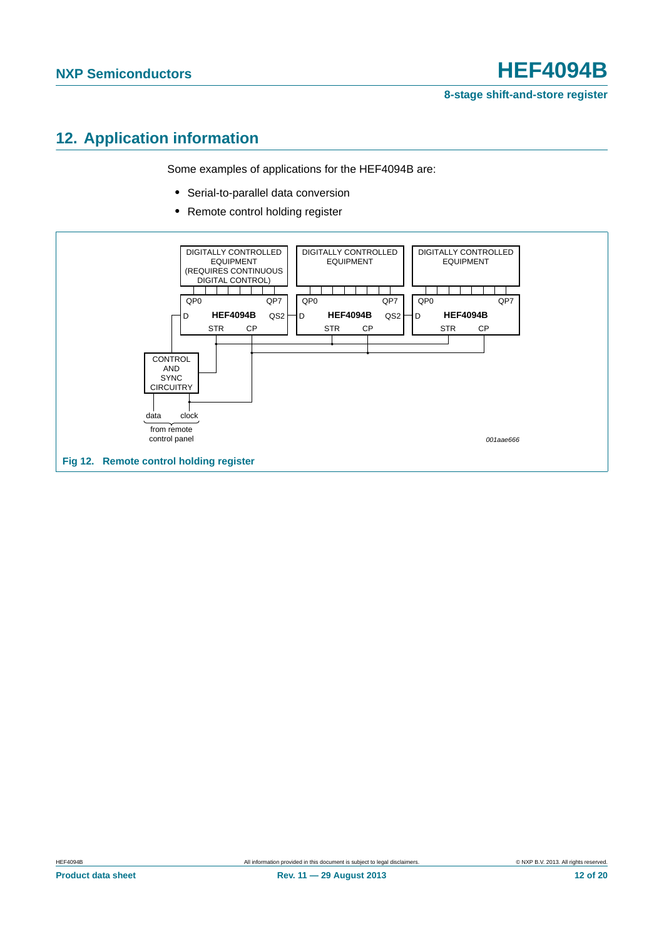## <span id="page-11-0"></span>**12. Application information**

Some examples of applications for the HEF4094B are:

- **•** Serial-to-parallel data conversion
- **•** Remote control holding register

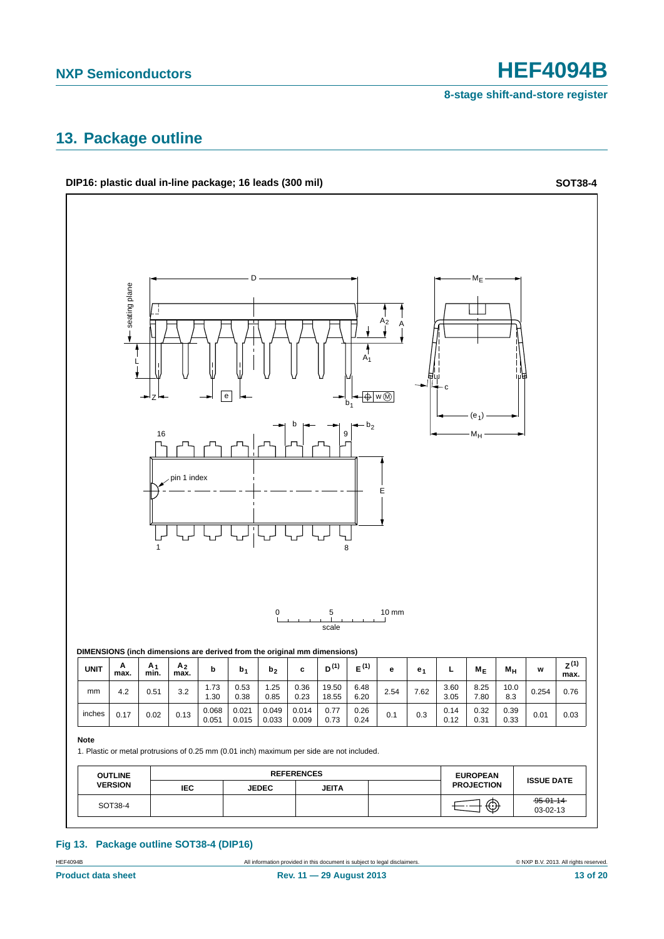## <span id="page-12-0"></span>**13. Package outline**



### **Fig 13. Package outline SOT38-4 (DIP16)**

HEF4094B All information provided in this document is subject to legal disclaimers. © NXP B.V. 2013. All rights reserved.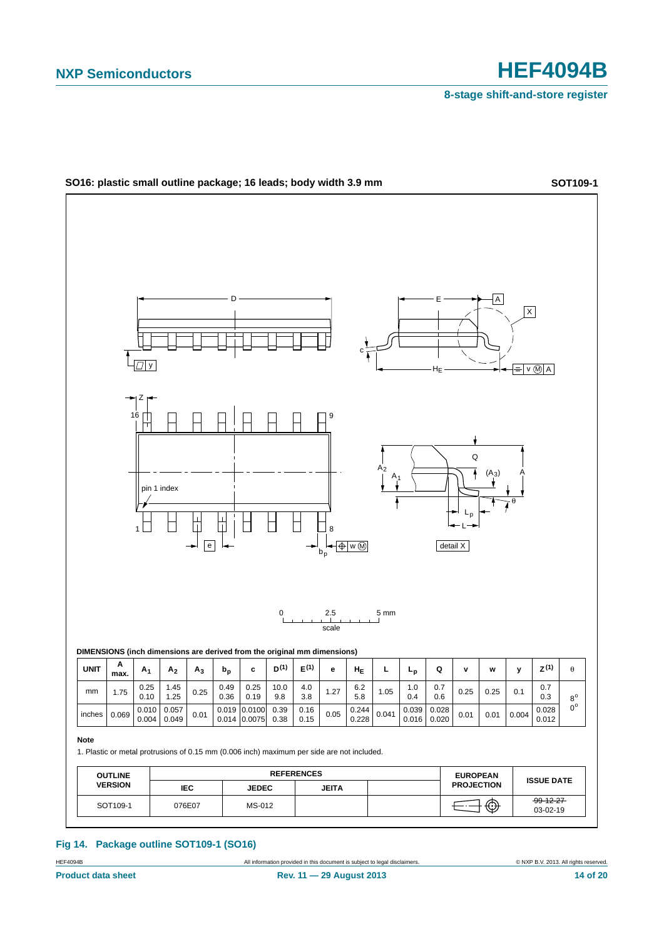

**Fig 14. Package outline SOT109-1 (SO16)**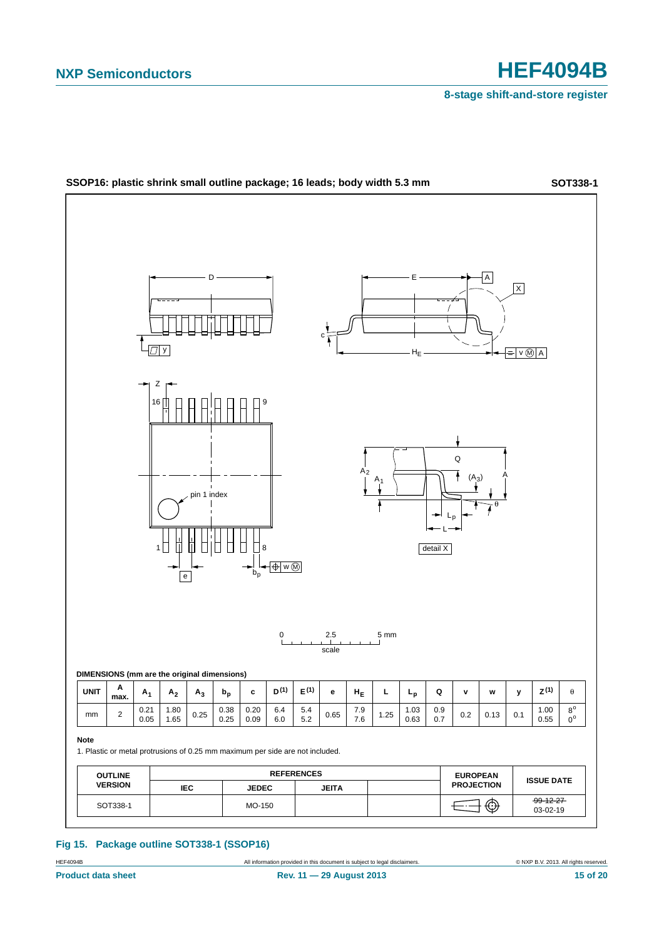

### **Fig 15. Package outline SOT338-1 (SSOP16)**

HEF4094B All information provided in this document is subject to legal disclaimers. © NXP B.V. 2013. All rights reserved.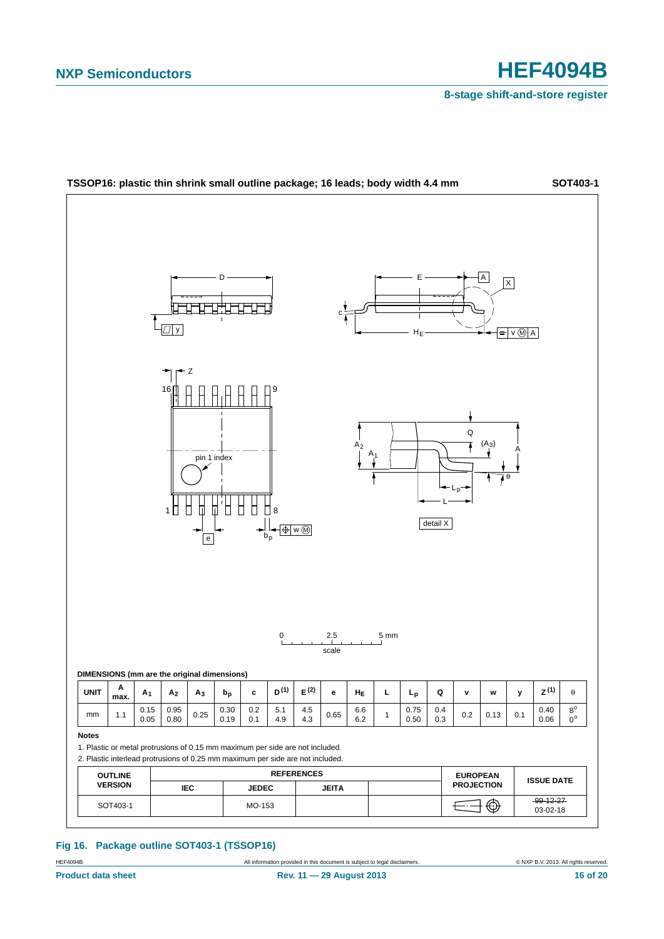

**Fig 16. Package outline SOT403-1 (TSSOP16)**

HEF4094B **All information provided in this document** is subject to legal disclaimers. **ONXP B.V. 2013. All rights reserved.**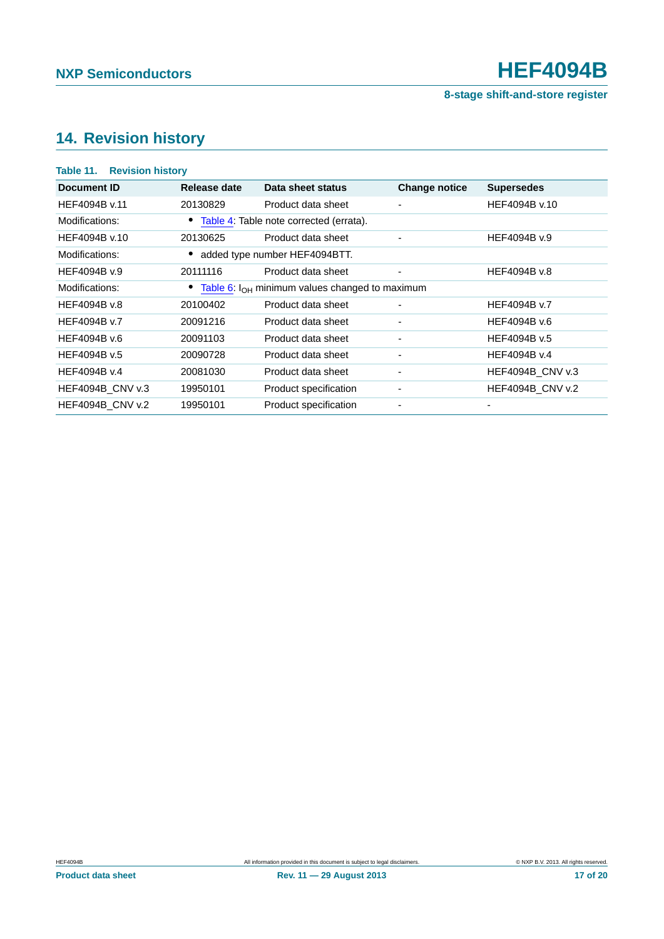# <span id="page-16-0"></span>**14. Revision history**

| <b>Revision history</b><br>Table 11. |              |                                                       |                          |                         |  |  |  |  |  |  |
|--------------------------------------|--------------|-------------------------------------------------------|--------------------------|-------------------------|--|--|--|--|--|--|
| Document ID                          | Release date | Data sheet status                                     | <b>Change notice</b>     | <b>Supersedes</b>       |  |  |  |  |  |  |
| HEF4094B v.11                        | 20130829     | Product data sheet                                    | ۰                        | HEF4094B v.10           |  |  |  |  |  |  |
| Modifications:                       |              | Table 4: Table note corrected (errata).               |                          |                         |  |  |  |  |  |  |
| HEF4094B v.10                        | 20130625     | Product data sheet                                    | $\overline{\phantom{0}}$ | HEF4094B v.9            |  |  |  |  |  |  |
| Modifications:                       |              | added type number HEF4094BTT.                         |                          |                         |  |  |  |  |  |  |
| HEF4094B v.9                         | 20111116     | Product data sheet                                    | ٠                        | HEF4094B v.8            |  |  |  |  |  |  |
| Modifications:                       |              | • Table 6: $I_{OH}$ minimum values changed to maximum |                          |                         |  |  |  |  |  |  |
| HEF4094B v.8                         | 20100402     | Product data sheet                                    | $\blacksquare$           | HEF4094B v.7            |  |  |  |  |  |  |
| HEF4094B v.7                         | 20091216     | Product data sheet                                    | ٠                        | HEF4094B v.6            |  |  |  |  |  |  |
| HEF4094B v.6                         | 20091103     | Product data sheet                                    | ٠                        | HEF4094B v.5            |  |  |  |  |  |  |
| HEF4094B v.5                         | 20090728     | Product data sheet                                    | ٠                        | HEF4094B v.4            |  |  |  |  |  |  |
| HEF4094B v.4                         | 20081030     | Product data sheet                                    | ٠                        | <b>HEF4094B CNV v.3</b> |  |  |  |  |  |  |
| <b>HEF4094B CNV v.3</b>              | 19950101     | Product specification                                 | $\overline{\phantom{a}}$ | <b>HEF4094B CNV v.2</b> |  |  |  |  |  |  |
| <b>HEF4094B CNV v.2</b>              | 19950101     | Product specification                                 |                          |                         |  |  |  |  |  |  |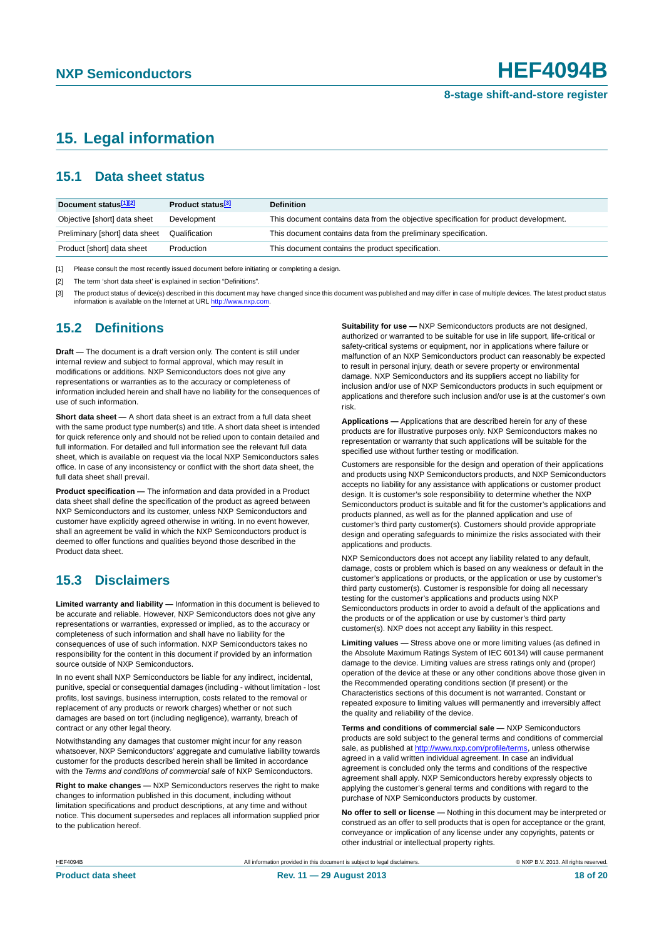## <span id="page-17-3"></span>**15. Legal information**

### <span id="page-17-4"></span>**15.1 Data sheet status**

| Document status[1][2]          | Product status <sup>[3]</sup> | <b>Definition</b>                                                                     |
|--------------------------------|-------------------------------|---------------------------------------------------------------------------------------|
| Objective [short] data sheet   | Development                   | This document contains data from the objective specification for product development. |
| Preliminary [short] data sheet | Qualification                 | This document contains data from the preliminary specification.                       |
| Product [short] data sheet     | Production                    | This document contains the product specification.                                     |

<span id="page-17-0"></span>[1] Please consult the most recently issued document before initiating or completing a design.

<span id="page-17-1"></span>[2] The term 'short data sheet' is explained in section "Definitions".

<span id="page-17-2"></span>[3] The product status of device(s) described in this document may have changed since this document was published and may differ in case of multiple devices. The latest product status<br>information is available on the Intern

### <span id="page-17-5"></span>**15.2 Definitions**

**Draft —** The document is a draft version only. The content is still under internal review and subject to formal approval, which may result in modifications or additions. NXP Semiconductors does not give any representations or warranties as to the accuracy or completeness of information included herein and shall have no liability for the consequences of use of such information.

**Short data sheet —** A short data sheet is an extract from a full data sheet with the same product type number(s) and title. A short data sheet is intended for quick reference only and should not be relied upon to contain detailed and full information. For detailed and full information see the relevant full data sheet, which is available on request via the local NXP Semiconductors sales office. In case of any inconsistency or conflict with the short data sheet, the full data sheet shall prevail.

**Product specification —** The information and data provided in a Product data sheet shall define the specification of the product as agreed between NXP Semiconductors and its customer, unless NXP Semiconductors and customer have explicitly agreed otherwise in writing. In no event however, shall an agreement be valid in which the NXP Semiconductors product is deemed to offer functions and qualities beyond those described in the Product data sheet.

## <span id="page-17-6"></span>**15.3 Disclaimers**

**Limited warranty and liability —** Information in this document is believed to be accurate and reliable. However, NXP Semiconductors does not give any representations or warranties, expressed or implied, as to the accuracy or completeness of such information and shall have no liability for the consequences of use of such information. NXP Semiconductors takes no responsibility for the content in this document if provided by an information source outside of NXP Semiconductors.

In no event shall NXP Semiconductors be liable for any indirect, incidental, punitive, special or consequential damages (including - without limitation - lost profits, lost savings, business interruption, costs related to the removal or replacement of any products or rework charges) whether or not such damages are based on tort (including negligence), warranty, breach of contract or any other legal theory.

Notwithstanding any damages that customer might incur for any reason whatsoever, NXP Semiconductors' aggregate and cumulative liability towards customer for the products described herein shall be limited in accordance with the *Terms and conditions of commercial sale* of NXP Semiconductors.

**Right to make changes —** NXP Semiconductors reserves the right to make changes to information published in this document, including without limitation specifications and product descriptions, at any time and without notice. This document supersedes and replaces all information supplied prior to the publication hereof.

**Suitability for use —** NXP Semiconductors products are not designed, authorized or warranted to be suitable for use in life support, life-critical or safety-critical systems or equipment, nor in applications where failure or malfunction of an NXP Semiconductors product can reasonably be expected to result in personal injury, death or severe property or environmental damage. NXP Semiconductors and its suppliers accept no liability for inclusion and/or use of NXP Semiconductors products in such equipment or applications and therefore such inclusion and/or use is at the customer's own risk.

**Applications —** Applications that are described herein for any of these products are for illustrative purposes only. NXP Semiconductors makes no representation or warranty that such applications will be suitable for the specified use without further testing or modification.

Customers are responsible for the design and operation of their applications and products using NXP Semiconductors products, and NXP Semiconductors accepts no liability for any assistance with applications or customer product design. It is customer's sole responsibility to determine whether the NXP Semiconductors product is suitable and fit for the customer's applications and products planned, as well as for the planned application and use of customer's third party customer(s). Customers should provide appropriate design and operating safeguards to minimize the risks associated with their applications and products.

NXP Semiconductors does not accept any liability related to any default, damage, costs or problem which is based on any weakness or default in the customer's applications or products, or the application or use by customer's third party customer(s). Customer is responsible for doing all necessary testing for the customer's applications and products using NXP Semiconductors products in order to avoid a default of the applications and the products or of the application or use by customer's third party customer(s). NXP does not accept any liability in this respect.

**Limiting values —** Stress above one or more limiting values (as defined in the Absolute Maximum Ratings System of IEC 60134) will cause permanent damage to the device. Limiting values are stress ratings only and (proper) operation of the device at these or any other conditions above those given in the Recommended operating conditions section (if present) or the Characteristics sections of this document is not warranted. Constant or repeated exposure to limiting values will permanently and irreversibly affect the quality and reliability of the device.

**Terms and conditions of commercial sale —** NXP Semiconductors products are sold subject to the general terms and conditions of commercial sale, as published at<http://www.nxp.com/profile/terms>, unless otherwise agreed in a valid written individual agreement. In case an individual agreement is concluded only the terms and conditions of the respective agreement shall apply. NXP Semiconductors hereby expressly objects to applying the customer's general terms and conditions with regard to the purchase of NXP Semiconductors products by customer.

**No offer to sell or license —** Nothing in this document may be interpreted or construed as an offer to sell products that is open for acceptance or the grant, conveyance or implication of any license under any copyrights, patents or other industrial or intellectual property rights.

All information provided in this document is subject to legal disclaimers. **Example 2014** All rights reserved.

All information provided in this document is subject to legal disclaimers.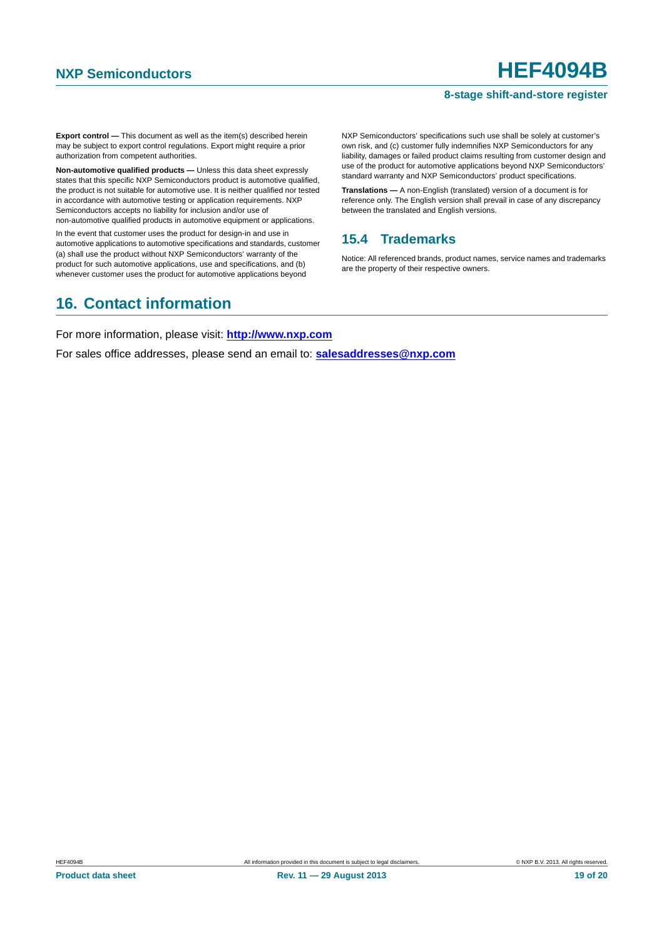### **8-stage shift-and-store register**

**Export control —** This document as well as the item(s) described herein may be subject to export control regulations. Export might require a prior authorization from competent authorities.

**Non-automotive qualified products —** Unless this data sheet expressly states that this specific NXP Semiconductors product is automotive qualified, the product is not suitable for automotive use. It is neither qualified nor tested in accordance with automotive testing or application requirements. NXP Semiconductors accepts no liability for inclusion and/or use of non-automotive qualified products in automotive equipment or applications.

In the event that customer uses the product for design-in and use in automotive applications to automotive specifications and standards, customer (a) shall use the product without NXP Semiconductors' warranty of the product for such automotive applications, use and specifications, and (b) whenever customer uses the product for automotive applications beyond

NXP Semiconductors' specifications such use shall be solely at customer's own risk, and (c) customer fully indemnifies NXP Semiconductors for any liability, damages or failed product claims resulting from customer design and use of the product for automotive applications beyond NXP Semiconductors' standard warranty and NXP Semiconductors' product specifications.

**Translations —** A non-English (translated) version of a document is for reference only. The English version shall prevail in case of any discrepancy between the translated and English versions.

### <span id="page-18-0"></span>**15.4 Trademarks**

Notice: All referenced brands, product names, service names and trademarks are the property of their respective owners.

## <span id="page-18-1"></span>**16. Contact information**

For more information, please visit: **http://www.nxp.com**

For sales office addresses, please send an email to: **salesaddresses@nxp.com**

**Product data sheet Rev. 11 — 29 August 2013** 19 0f 20